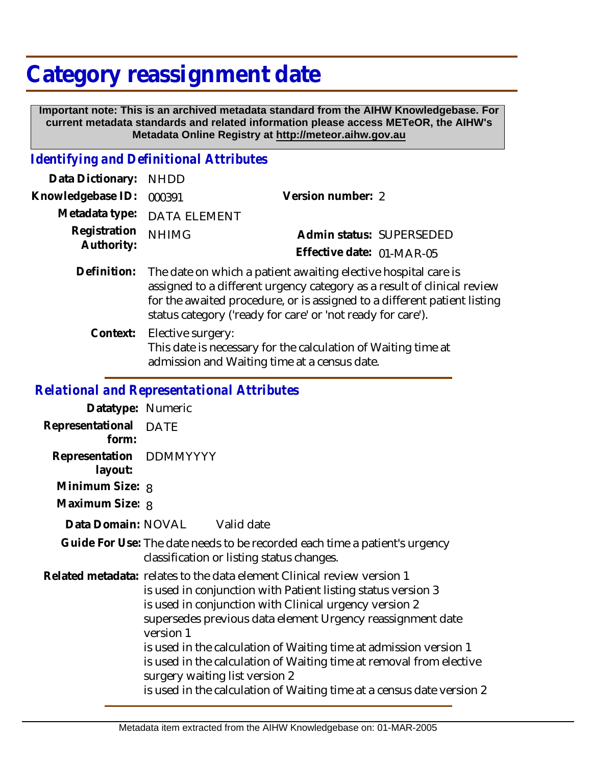## **Category reassignment date**

 **Important note: This is an archived metadata standard from the AIHW Knowledgebase. For current metadata standards and related information please access METeOR, the AIHW's Metadata Online Registry at http://meteor.aihw.gov.au**

## *Identifying and Definitional Attributes*

| Data Dictionary:           | <b>NHDD</b>         |                                                                                                                               |                                                                                                                                                     |
|----------------------------|---------------------|-------------------------------------------------------------------------------------------------------------------------------|-----------------------------------------------------------------------------------------------------------------------------------------------------|
| Knowledgebase ID:          | 000391              | Version number: 2                                                                                                             |                                                                                                                                                     |
| Metadata type:             | <b>DATA ELEMENT</b> |                                                                                                                               |                                                                                                                                                     |
| Registration<br>Authority: | <b>NHIMG</b>        |                                                                                                                               | Admin status: SUPERSEDED                                                                                                                            |
|                            |                     | Effective date: 01-MAR-05                                                                                                     |                                                                                                                                                     |
| Definition:                |                     | The date on which a patient awaiting elective hospital care is<br>status category ('ready for care' or 'not ready for care'). | assigned to a different urgency category as a result of clinical review<br>for the awaited procedure, or is assigned to a different patient listing |

Elective surgery: This date is necessary for the calculation of Waiting time at admission and Waiting time at a census date. **Context:**

## *Relational and Representational Attributes*

| Datatype: Numeric                  |                                                                                                                                                                                                                                                                                                                                                                                                                                                                                                                                     |
|------------------------------------|-------------------------------------------------------------------------------------------------------------------------------------------------------------------------------------------------------------------------------------------------------------------------------------------------------------------------------------------------------------------------------------------------------------------------------------------------------------------------------------------------------------------------------------|
| Representational DATE<br>form:     |                                                                                                                                                                                                                                                                                                                                                                                                                                                                                                                                     |
| Representation DDMMYYYY<br>layout: |                                                                                                                                                                                                                                                                                                                                                                                                                                                                                                                                     |
| Minimum Size: 8                    |                                                                                                                                                                                                                                                                                                                                                                                                                                                                                                                                     |
| Maximum Size: 8                    |                                                                                                                                                                                                                                                                                                                                                                                                                                                                                                                                     |
|                                    | Data Domain: NOVAL Valid date                                                                                                                                                                                                                                                                                                                                                                                                                                                                                                       |
|                                    | Guide For Use: The date needs to be recorded each time a patient's urgency<br>classification or listing status changes.                                                                                                                                                                                                                                                                                                                                                                                                             |
|                                    | Related metadata: relates to the data element Clinical review version 1<br>is used in conjunction with Patient listing status version 3<br>is used in conjunction with Clinical urgency version 2<br>supersedes previous data element Urgency reassignment date<br>version 1<br>is used in the calculation of Waiting time at admission version 1<br>is used in the calculation of Waiting time at removal from elective<br>surgery waiting list version 2<br>is used in the calculation of Waiting time at a census date version 2 |